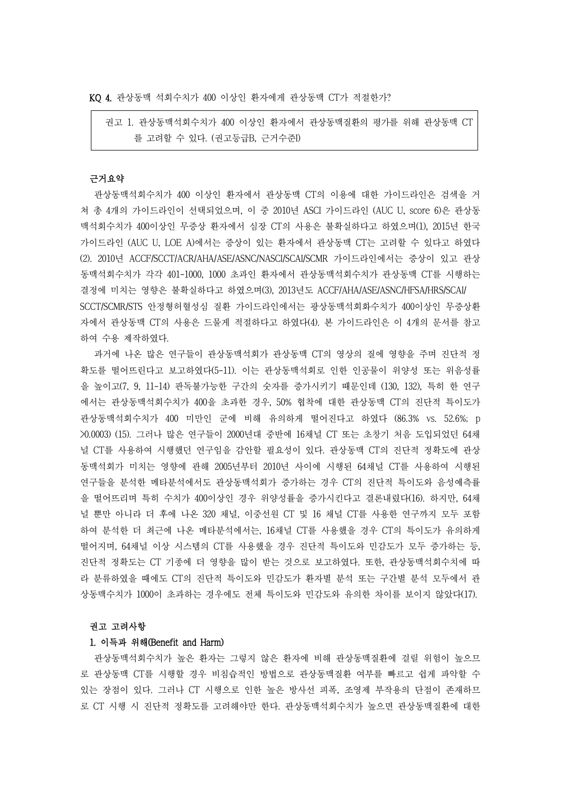KQ 4. 관상동맥 석회수치가 400 이상인 환자에게 관상동맥 CT가 적절한가?

권고 1. 관상동맥석회수치가 400 이상인 환자에서 관상동맥질환의 평가를 위해 관상동맥 CT 를 고려할 수 있다. (권고등급B, 근거수준I)

# 근거요약

관상동맥석회수치가 400 이상인 환자에서 관상동맥 CT의 이용에 대한 가이드라인은 검색을 거 쳐 총 4개의 가이드라인이 선택되었으며, 이 중 2010년 ASCI 가이드라인 (AUC U, score 6)은 관상동 맥석회수치가 400이상인 무증상 환자에서 심장 CT의 사용은 불확실하다고 하였으며(1), 2015년 한국 가이드라인 (AUC U, LOE A)에서는 증상이 있는 환자에서 관상동맥 CT는 고려할 수 있다고 하였다 (2). 2010년 ACCF/SCCT/ACR/AHA/ASE/ASNC/NASCI/SCAI/SCMR 가이드라인에서는 증상이 있고 관상 동맥석회수치가 각각 401-1000, 1000 초과인 환자에서 관상동맥석회수치가 관상동맥 CT를 시행하는 결정에 미치는 영향은 불확실하다고 하였으며(3), 2013년도 ACCF/AHA/ASE/ASNC/HFSA/HRS/SCAI/ SCCT/SCMR/STS 안정형허혈성심 질환 가이드라인에서는 광상동맥석회화수치가 400이상인 무증상환 자에서 관상동맥 CT의 사용은 드물게 적절하다고 하였다(4). 본 가이드라인은 이 4개의 문서를 참고

하여 수용 제작하였다.<br>-<br>- 과거에 나온 많은 연구들이 관상동맥석회가 관상동맥 CT의 영상의 질에 영향을 주며 진단적 정 확도를 떨어뜨린다고 보고하였다(5-11). 이는 관상동맥석회로 인한 인공물이 위양성 또는 위음성률 을 높이고(7, 9, 11-14) 판독불가능한 구간의 숫자를 증가시키기 때문인데 (130, 132), 특히 한 연구 에서는 관상동맥석회수치가 400을 초과한 경우, 50% 협착에 대한 관상동맥 CT의 진단적 특이도가 관상동맥석회수치가 400 미만인 군에 비해 유의하게 떨어진다고 하였다 (86.3% vs. 52.6%; p >0.0003) (15). 그러나 많은 연구들이 2000년대 중반에 16채널 CT 또는 초창기 처음 도입되었던 64채 널 CT를 사용하여 시행했던 연구임을 감안할 필요성이 있다. 관상동맥 CT의 진단적 정확도에 관상 동맥석회가 미치는 영향에 관해 2005년부터 2010년 사이에 시행된 64채널 CT를 사용하여 시행된 연구들을 분석한 메타분석에서도 관상동맥석회가 증가하는 경우 CT의 진단적 특이도와 음성예측률 을 떨어뜨리며 특히 수치가 400이상인 경우 위양성률을 증가시킨다고 결론내렸다(16). 하지만, 64채 널 뿐만 아니라 더 후에 나온 320 채널, 이중선원 CT 및 16 채널 CT를 사용한 연구까지 모두 포함 하여 분석한 더 최근에 나온 메타분석에서는, 16채널 CT를 사용했을 경우 CT의 특이도가 유의하게 떨어지며, 64채널 이상 시스템의 CT를 사용했을 경우 진단적 특이도와 민감도가 모두 증가하는 등,<br>진단적 정확도는 CT 기종에 더 영향을 많이 받는 것으로 보고하였다. 또한, 관상동맥석회수치에 따 라 분류하였을 때에도 CT의 진단적 특이도와 민감도가 환자별 분석 또는 구간별 분석 모두에서 관 상동맥수치가 1000이 초과하는 경우에도 전체 특이도와 민감도와 유의한 차이를 보이지 않았다(17).

### 권고 고려사항

### 1. 이득과 위해(Benefit and Harm)

관상동맥석회수치가 높은 환자는 그렇지 않은 환자에 비해 관상동맥질환에 걸릴 위험이 높으므 로 관상동맥 CT를 시행할 경우 비침습적인 방법으로 관상동맥질환 여부를 빠르고 쉽게 파악할 수 있는 장점이 있다. 그러나 CT 시행으로 인한 높은 방사선 피폭, 조영제 부작용의 단점이 존재하므 로 CT 시행 시 진단적 정확도를 고려해야만 한다. 관상동맥석회수치가 높으면 관상동맥질환에 대한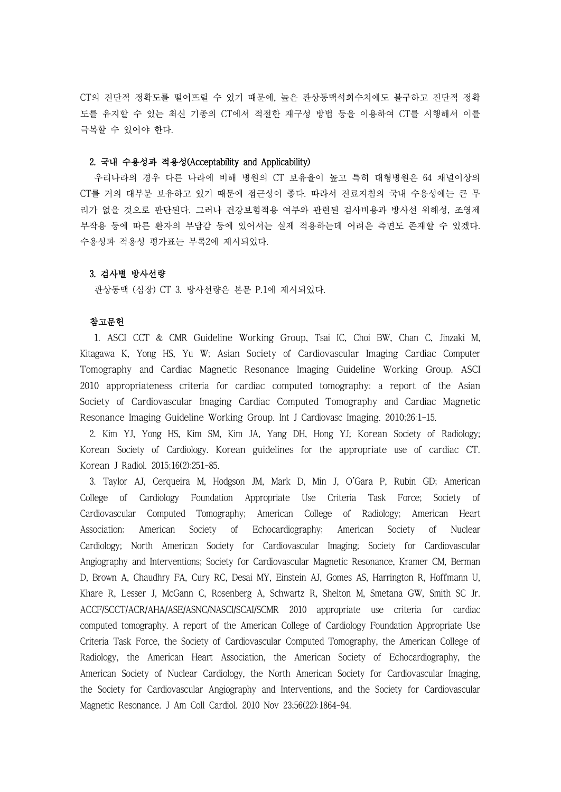CT의 진단적 정확도를 떨어뜨릴 수 있기 때문에, 높은 관상동맥석회수치에도 불구하고 진단적 정확 도를 유지할 수 있는 최신 기종의 CT에서 적절한 재구성 방법 등을 이용하여 CT를 시행해서 이를 극복할 수 있어야 한다.

## 2. 국내 수용성과 적용성(Acceptability and Applicability)

우리나라의 경우 다른 나라에 비해 병원의 CT 보유율이 높고 특히 대형병원은 64 채널이상의 CT를 거의 대부분 보유하고 있기 때문에 접근성이 좋다. 따라서 진료지침의 국내 수용성에는 큰 무 리가 없을 것으로 판단된다. 그러나 건강보험적용 여부와 관련된 검사비용과 방사선 위해성, 조영제 부작용 등에 따른 환자의 부담감 등에 있어서는 실제 적용하는데 어려운 측면도 존재할 수 있겠다.<br>수용성과 적용성 평가표는 부록2에 제시되었다.

# 3. 검사별 방사선량

관상동맥 (심장) CT 3. 방사선량은 본문 P.1에 제시되었다.

# 참고문헌

1. ASCI CCT & CMR Guideline Working Group, Tsai IC, Choi BW, Chan C, Jinzaki M, Kitagawa K, Yong HS, Yu W; Asian Society of Cardiovascular Imaging Cardiac Computer Tomography and Cardiac Magnetic Resonance Imaging Guideline Working Group. ASCI 2010 appropriateness criteria for cardiac computed tomography: a report of the Asian Society of Cardiovascular Imaging Cardiac Computed Tomography and Cardiac Magnetic Resonance Imaging Guideline Working Group. Int J Cardiovasc Imaging. 2010;26:1-15.

2. Kim YJ, Yong HS, Kim SM, Kim JA, Yang DH, Hong YJ; Korean Society of Radiology; Korean Society of Cardiology. Korean guidelines for the appropriate use of cardiac CT. Korean J Radiol. 2015;16(2):251-85.

3. Taylor AJ, Cerqueira M, Hodgson JM, Mark D, Min J, O'Gara P, Rubin GD; American College of Cardiology Foundation Appropriate Use Criteria Task Force; Society of Cardiovascular Computed Tomography; American College of Radiology; American Heart Association; American Society of Echocardiography; American Society of Nuclear Cardiology; North American Society for Cardiovascular Imaging; Society for Cardiovascular Angiography and Interventions; Society for Cardiovascular Magnetic Resonance, Kramer CM, Berman D, Brown A, Chaudhry FA, Cury RC, Desai MY, Einstein AJ, Gomes AS, Harrington R, Hoffmann U, Khare R, Lesser J, McGann C, Rosenberg A, Schwartz R, Shelton M, Smetana GW, Smith SC Jr. ACCF/SCCT/ACR/AHA/ASE/ASNC/NASCI/SCAI/SCMR 2010 appropriate use criteria for cardiac computed tomography. A report of the American College of Cardiology Foundation Appropriate Use Criteria Task Force, the Society of Cardiovascular Computed Tomography, the American College of Radiology, the American Heart Association, the American Society of Echocardiography, the American Society of Nuclear Cardiology, the North American Society for Cardiovascular Imaging, the Society for Cardiovascular Angiography and Interventions, and the Society for Cardiovascular Magnetic Resonance. J Am Coll Cardiol. 2010 Nov 23;56(22):1864-94.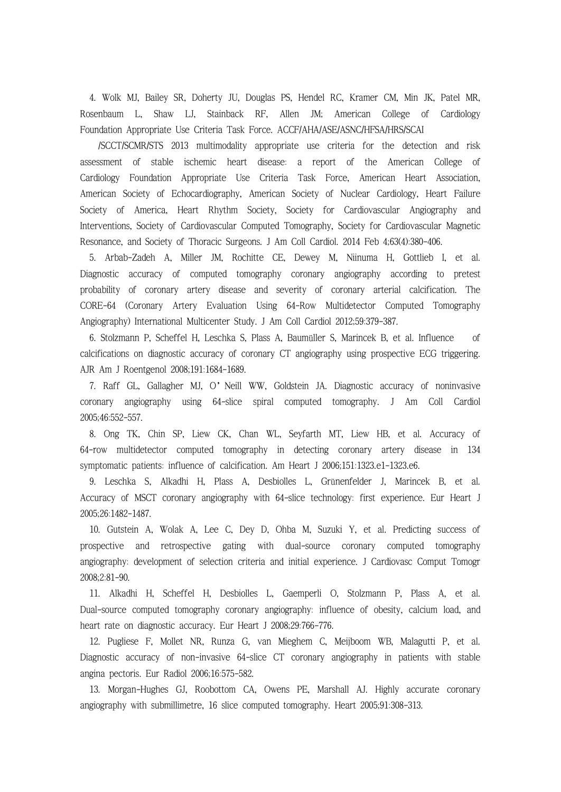4. Wolk MJ, Bailey SR, Doherty JU, Douglas PS, Hendel RC, Kramer CM, Min JK, Patel MR, Rosenbaum L, Shaw LJ, Stainback RF, Allen JM; American College of Cardiology Foundation Appropriate Use Criteria Task Force. ACCF/AHA/ASE/ASNC/HFSA/HRS/SCAI<br>/SCCT/SCMR/STS 2013 multimodality appropriate use criteria for the detection and risk

assessment of stable ischemic heart disease: a report of the American College of Cardiology Foundation Appropriate Use Criteria Task Force, American Heart Association, American Society of Echocardiography, American Society of Nuclear Cardiology, Heart Failure Society of America, Heart Rhythm Society, Society for Cardiovascular Angiography and Interventions, Society of Cardiovascular Computed Tomography, Society for Cardiovascular Magnetic Resonance, and Society of Thoracic Surgeons. J Am Coll Cardiol. 2014 Feb 4;63(4):380-406.

5. Arbab-Zadeh A, Miller JM, Rochitte CE, Dewey M, Niinuma H, Gottlieb I, et al. Diagnostic accuracy of computed tomography coronary angiography according to pretest probability of coronary artery disease and severity of coronary arterial calcification. The CORE-64 (Coronary Artery Evaluation Using 64-Row Multidetector Computed Tomography Angiography) International Multicenter Study. J Am Coll Cardiol 2012;59:379-387.

6. Stolzmann P, Scheffel H, Leschka S, Plass A, Baumüller S, Marincek B, et al. Influence of calcifications on diagnostic accuracy of coronary CT angiography using prospective ECG triggering. AJR Am J Roentgenol 2008;191:1684-1689.

7. Raff GL, Gallagher MJ, O'Neill WW, Goldstein JA. Diagnostic accuracy of noninvasive coronary angiography using 64-slice spiral computed tomography. J Am Coll Cardiol 2005;46:552-557.

8. Ong TK, Chin SP, Liew CK, Chan WL, Seyfarth MT, Liew HB, et al. Accuracy of 64-row multidetector computed tomography in detecting coronary artery disease in 134 symptomatic patients: influence of calcification. Am Heart J 2006;151:1323.e1-1323.e6.

9. Leschka S, Alkadhi H, Plass A, Desbiolles L, Grünenfelder J, Marincek B, et al. Accuracy of MSCT coronary angiography with 64-slice technology: first experience. Eur Heart J 2005;26:1482-1487.

10. Gutstein A, Wolak A, Lee C, Dey D, Ohba M, Suzuki Y, et al. Predicting success of prospective and retrospective gating with dual-source coronary computed tomography angiography: development of selection criteria and initial experience. J Cardiovasc Comput Tomogr 2008;2:81-90.

11. Alkadhi H, Scheffel H, Desbiolles L, Gaemperli O, Stolzmann P, Plass A, et al. Dual-source computed tomography coronary angiography: influence of obesity, calcium load, and heart rate on diagnostic accuracy. Eur Heart J 2008;29:766-776.

12. Pugliese F, Mollet NR, Runza G, van Mieghem C, Meijboom WB, Malagutti P, et al. Diagnostic accuracy of non-invasive 64-slice CT coronary angiography in patients with stable angina pectoris. Eur Radiol 2006;16:575-582.

13. Morgan-Hughes GJ, Roobottom CA, Owens PE, Marshall AJ. Highly accurate coronary angiography with submillimetre, 16 slice computed tomography. Heart 2005;91:308-313.